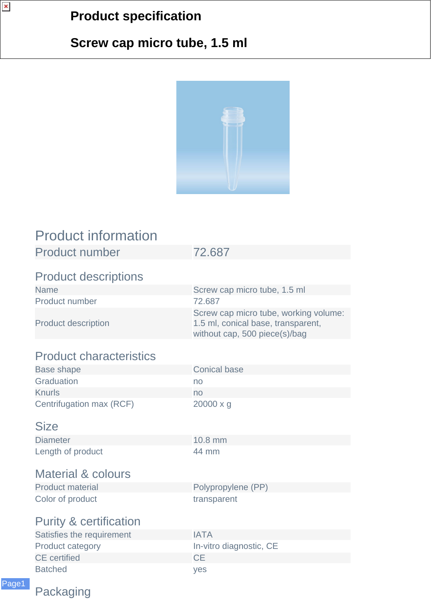## **Product specification**

## **Screw cap micro tube, 1.5 ml**



| <b>Product information</b>        |                                                                                                              |
|-----------------------------------|--------------------------------------------------------------------------------------------------------------|
| <b>Product number</b>             | 72.687                                                                                                       |
| <b>Product descriptions</b>       |                                                                                                              |
| <b>Name</b>                       | Screw cap micro tube, 1.5 ml                                                                                 |
| Product number                    | 72.687                                                                                                       |
| <b>Product description</b>        | Screw cap micro tube, working volume:<br>1.5 ml, conical base, transparent,<br>without cap, 500 piece(s)/bag |
| <b>Product characteristics</b>    |                                                                                                              |
| <b>Base shape</b>                 | <b>Conical base</b>                                                                                          |
| Graduation                        | no                                                                                                           |
| <b>Knurls</b>                     | no                                                                                                           |
| Centrifugation max (RCF)          | $20000 \times g$                                                                                             |
| <b>Size</b>                       |                                                                                                              |
| <b>Diameter</b>                   | 10.8 mm                                                                                                      |
| Length of product                 | 44 mm                                                                                                        |
| <b>Material &amp; colours</b>     |                                                                                                              |
| <b>Product material</b>           | Polypropylene (PP)                                                                                           |
| Color of product                  | transparent                                                                                                  |
| <b>Purity &amp; certification</b> |                                                                                                              |
| Satisfies the requirement         | <b>IATA</b>                                                                                                  |
| <b>Product category</b>           | In-vitro diagnostic, CE                                                                                      |
| <b>CE</b> certified               | <b>CE</b>                                                                                                    |
| <b>Batched</b>                    | yes                                                                                                          |

Packaging

Page1

 $\pmb{\times}$